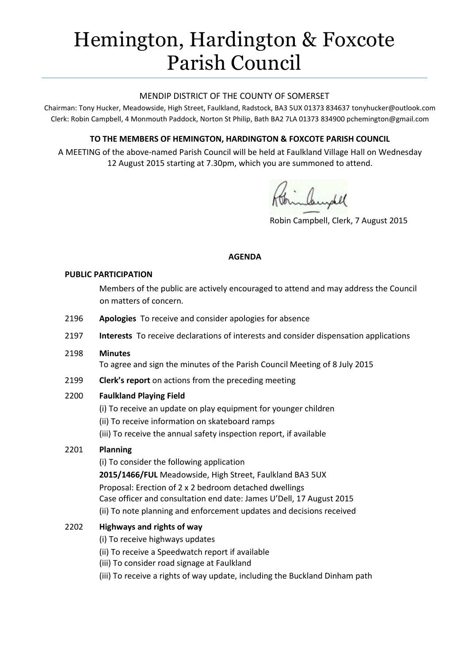# Hemington, Hardington & Foxcote Parish Council

## MENDIP DISTRICT OF THE COUNTY OF SOMERSET

Chairman: Tony Hucker, Meadowside, High Street, Faulkland, Radstock, BA3 5UX 01373 834637 tonyhucker@outlook.com Clerk: Robin Campbell, 4 Monmouth Paddock, Norton St Philip, Bath BA2 7LA 01373 834900 [pchemington@gmail.com](mailto:pchemington@gmail.com)

# **TO THE MEMBERS OF HEMINGTON, HARDINGTON & FOXCOTE PARISH COUNCIL**

A MEETING of the above-named Parish Council will be held at Faulkland Village Hall on Wednesday 12 August 2015 starting at 7.30pm, which you are summoned to attend.

Robin Campbell, Clerk, 7 August 2015

## **AGENDA**

#### **PUBLIC PARTICIPATION**

Members of the public are actively encouraged to attend and may address the Council on matters of concern.

- 2196 **Apologies** To receive and consider apologies for absence
- 2197 **Interests** To receive declarations of interests and consider dispensation applications
- 2198 **Minutes**

To agree and sign the minutes of the Parish Council Meeting of 8 July 2015

2199 **Clerk's report** on actions from the preceding meeting

## 2200 **Faulkland Playing Field**

- (i) To receive an update on play equipment for younger children
- (ii) To receive information on skateboard ramps
- (iii) To receive the annual safety inspection report, if available

## 2201 **Planning**

(i) To consider the following application **2015/1466/FUL** Meadowside, High Street, Faulkland BA3 5UX Proposal: Erection of 2 x 2 bedroom detached dwellings Case officer and consultation end date: James U'Dell, 17 August 2015 (ii) To note planning and enforcement updates and decisions received

# 2202 **Highways and rights of way**

- (i) To receive highways updates
- (ii) To receive a Speedwatch report if available
- (iii) To consider road signage at Faulkland
- (iii) To receive a rights of way update, including the Buckland Dinham path